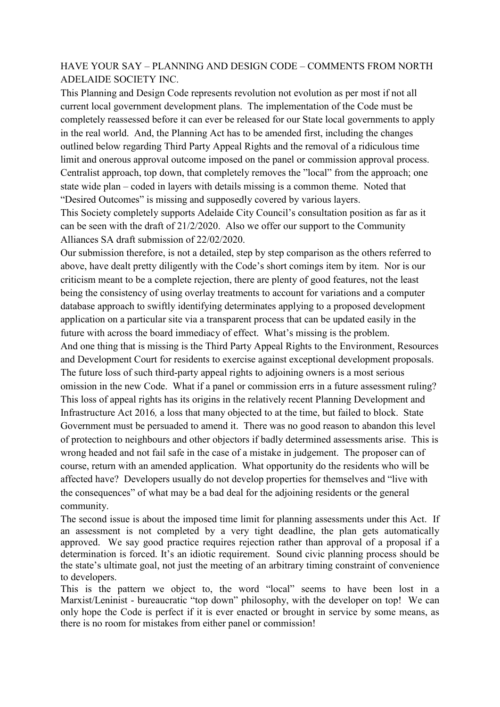## HAVE YOUR SAY – PLANNING AND DESIGN CODE – COMMENTS FROM NORTH ADELAIDE SOCIETY INC.

This Planning and Design Code represents revolution not evolution as per most if not all current local government development plans. The implementation of the Code must be completely reassessed before it can ever be released for our State local governments to apply in the real world. And, the Planning Act has to be amended first, including the changes outlined below regarding Third Party Appeal Rights and the removal of a ridiculous time limit and onerous approval outcome imposed on the panel or commission approval process. Centralist approach, top down, that completely removes the "local" from the approach; one state wide plan – coded in layers with details missing is a common theme. Noted that "Desired Outcomes" is missing and supposedly covered by various layers.

This Society completely supports Adelaide City Council's consultation position as far as it can be seen with the draft of 21/2/2020. Also we offer our support to the Community Alliances SA draft submission of 22/02/2020.

Our submission therefore, is not a detailed, step by step comparison as the others referred to above, have dealt pretty diligently with the Code's short comings item by item. Nor is our criticism meant to be a complete rejection, there are plenty of good features, not the least being the consistency of using overlay treatments to account for variations and a computer database approach to swiftly identifying determinates applying to a proposed development application on a particular site via a transparent process that can be updated easily in the future with across the board immediacy of effect. What's missing is the problem. And one thing that is missing is the Third Party Appeal Rights to the Environment, Resources and Development Court for residents to exercise against exceptional development proposals. The future loss of such third-party appeal rights to adjoining owners is a most serious omission in the new Code. What if a panel or commission errs in a future assessment ruling? This loss of appeal rights has its origins in the relatively recent Planning Development and Infrastructure Act 2016*,* a loss that many objected to at the time, but failed to block. State Government must be persuaded to amend it. There was no good reason to abandon this level of protection to neighbours and other objectors if badly determined assessments arise. This is wrong headed and not fail safe in the case of a mistake in judgement. The proposer can of course, return with an amended application. What opportunity do the residents who will be affected have? Developers usually do not develop properties for themselves and "live with the consequences" of what may be a bad deal for the adjoining residents or the general community.

The second issue is about the imposed time limit for planning assessments under this Act. If an assessment is not completed by a very tight deadline, the plan gets automatically approved. We say good practice requires rejection rather than approval of a proposal if a determination is forced. It's an idiotic requirement. Sound civic planning process should be the state's ultimate goal, not just the meeting of an arbitrary timing constraint of convenience to developers.

This is the pattern we object to, the word "local" seems to have been lost in a Marxist/Leninist - bureaucratic "top down" philosophy, with the developer on top! We can only hope the Code is perfect if it is ever enacted or brought in service by some means, as there is no room for mistakes from either panel or commission!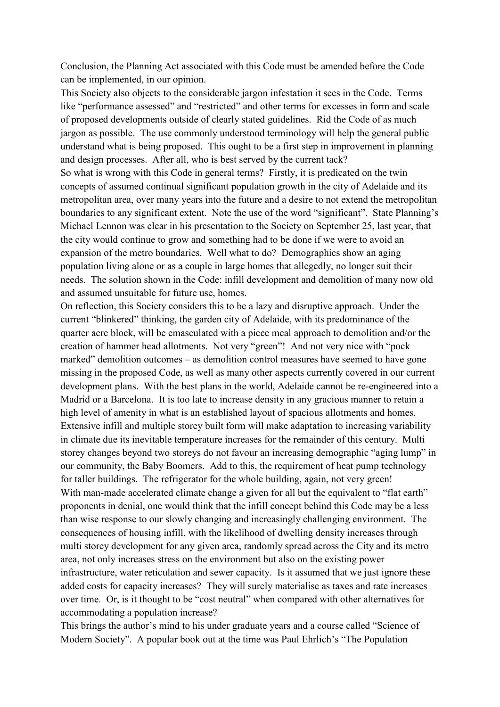Conclusion, the Planning Act associated with this Code must be amended before the Code can be implemented, in our opinion.

This Society also objects to the considerable jargon infestation it sees in the Code. Terms like "performance assessed" and "restricted" and other terms for excesses in form and scale of proposed developments outside of clearly stated guidelines. Rid the Code of as much jargon as possible. The use commonly understood terminology will help the general public understand what is being proposed. This ought to be a first step in improvement in planning and design processes. After all, who is best served by the current tack? So what is wrong with this Code in general terms? Firstly, it is predicated on the twin concepts of assumed continual significant population growth in the city of Adelaide and its metropolitan area, over many years into the future and a desire to not extend the metropolitan boundaries to any significant extent. Note the use of the word "significant". State Planning's Michael Lennon was clear in his presentation to the Society on September 25, last year, that the city would continue to grow and something had to be done if we were to avoid an expansion of the metro boundaries. Well what to do? Demographics show an aging population living alone or as a couple in large homes that allegedly, no longer suit their needs. The solution shown in the Code: infill development and demolition of many now old and assumed unsuitable for future use, homes.

On reflection, this Society considers this to be a lazy and disruptive approach. Under the current "blinkered" thinking, the garden city of Adelaide, with its predominance of the quarter acre block, will be emasculated with a piece meal approach to demolition and/or the creation of hammer head allotments. Not very "green"! And not very nice with "pock marked" demolition outcomes – as demolition control measures have seemed to have gone missing in the proposed Code, as well as many other aspects currently covered in our current development plans. With the best plans in the world, Adelaide cannot be re-engineered into a Madrid or a Barcelona. It is too late to increase density in any gracious manner to retain a high level of amenity in what is an established layout of spacious allotments and homes. Extensive infill and multiple storey built form will make adaptation to increasing variability in climate due its inevitable temperature increases for the remainder of this century. Multi storey changes beyond two storeys do not favour an increasing demographic "aging lump" in our community, the Baby Boomers. Add to this, the requirement of heat pump technology for taller buildings. The refrigerator for the whole building, again, not very green! With man-made accelerated climate change a given for all but the equivalent to "flat earth" proponents in denial, one would think that the infill concept behind this Code may be a less than wise response to our slowly changing and increasingly challenging environment. The consequences of housing infill, with the likelihood of dwelling density increases through multi storey development for any given area, randomly spread across the City and its metro area, not only increases stress on the environment but also on the existing power infrastructure, water reticulation and sewer capacity. Is it assumed that we just ignore these added costs for capacity increases? They will surely materialise as taxes and rate increases over time. Or, is it thought to be "cost neutral" when compared with other alternatives for accommodating a population increase?

This brings the author's mind to his under graduate years and a course called "Science of Modern Society". A popular book out at the time was Paul Ehrlich's "The Population